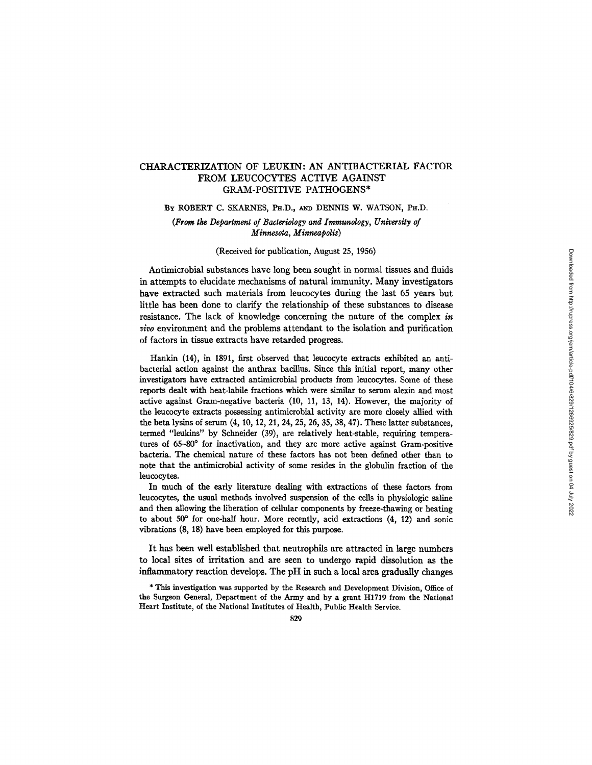# CHARACTERIZATION OF LEUKIN: AN ANTIBACTERIAL FACTOR FROM LEUCOCYTES ACTIVE AGAINST GRAM-POSITIVE PATHOGENS\*

BY ROBERT C. SKARNES, PH.D., AND DENNIS W. WATSON, PH.D.

*(From the Department of Bacteriology and Immunology, University of Minnesota, Minneapolis)* 

# (Received for publication, August 25, 1956)

Antimicrobial substances have long been sought in normal tissues and fluids in attempts to elucidate mechanisms of natural immunity. Many investigators have extracted such materials from leucocytes during the last 65 years but little has been done to clarify the relationship of these substances to disease resistance. The lack of knowledge concerning the nature of the complex *in vivo* environment and the problems attendant to the isolation and purification of factors in tissue extracts have retarded progress.

Hankin (14), in 1891, first observed that leucocyte extracts exhibited an antibacterial action against the anthrax bacillus. Since this initial report, many other investigators have extracted antimicrobial products from leucocytes. Some of these reports dealt with heat-labile fractions which were similar to serum alexin and most active against Gram-negative bacteria (10, 11, 13, 14). However, the majority of the leucocyte extracts possessing antimicrobial activity are more closely allied with the beta lysins of serum (4, 10, 12, 21, 24, 25, 26, 35, 38, 47). These latter substances, termed "leukins" by Schneider (39), are relatively heat-stable, requiring temperatures of 65-80° for inactivation, and they are more active against Gram-positive bacteria. The chemical nature of these factors has not been defined other than to note that the antimicrobial activity of some resides in the globulin fraction of the leucocytes.

In much of the early literature dealing with extractions of these factors from leucocytes, the usual methods involved suspension of the cells in physiologic saline and then allowing the liberation of cellular components by freeze-thawing or heating to about 50° for one-half hour. More recently, acid extractions (4, 12) and sonic vibrations (8, 18) have been employed for this purpose.

It has been well established that neutrophils are attracted in large numbers to local sites of irritation and are seen to undergo rapid dissolution as the inflammatory reaction develops. The pH in such a local area gradually changes

\* This investigation was supported by the Research and Development Division, Office of the Surgeon General, Department of the Army and by a grant H1719 from the National Heart Institute, of the National Institutes of Health, Public Health Service.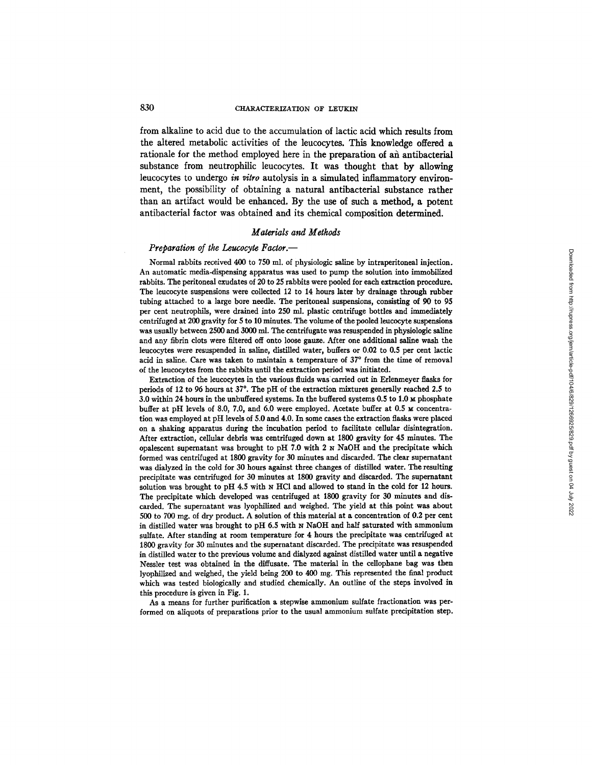from alkaline to acid due to the accumulation of lactic acid which results from the altered metabolic activities of the leucocytes. This knowledge offered a rationale for the method employed here in the preparation of an antibacterial substance from neutrophilic leucocytes. It was thought that by allowing leucocytes to undergo *in vitro* autolysis in a simulated inflammatory environment, the possibility of obtaining a natural antibacterial substance rather than an artifact would be enhanced. By the use of such a method, a potent antibacterial factor was obtained and its chemical composition determined.

#### *Materials a~d Methods*

#### *Preparation of the Leucocyte Factor.--*

Normal rabbits received 400 to 750 ml. of physiologic saline by intraperitoneal injection. An automatic media-dispensing apparatus was used to pump the solution into immobilized rabbits. The peritoneal exudates of 20 to 25 rabbits were pooled for each extraction procedure. The leucocyte suspensions were collected 12 to 14 hours later by drainage through rubber tubing attached to a large bore needle. The peritoneal suspensions, consisting of 90 to 95 per cent neutrophils, were drained into 250 ml. plastic centrifuge bottles and immediately centrifuged at 200 gravity for 5 to 10 minutes. The volume of the pooled leucocyte suspensions was usually between 2500 and 3000 ml. The centrifugate was resnspended in physiologic saline and any fibrin clots were filtered off onto loose gauze. After one additional saline wash the leucocytes were resuspended in saline, distilled water, buffers or 0.02 to 0.5 per cent lactic acid in saline. Care was taken to maintain a temperature of 37° from the time of removal of the leucocytes from the rabbits until the extraction period was initiated.

Extraction of the leucocytes in the various fluids was carried out in Erlenmeyer flasks for periods of 12 to 96 hours at 37 °. The pH of the extraction mixtures generally reached 2.5 to  $3.0$  within 24 hours in the unbuffered systems. In the buffered systems 0.5 to 1.0  $\mu$  phosphate buffer at pH levels of 8.0, 7.0, and 6.0 were employed. Acetate buffer at  $0.5 ~\text{m}$  concentration was employed at pH levels of 5.0 and 4.0. In some cases the extraction flasks were placed on a shaking apparatus during the incubation period to facilitate cellular disintegration. After extraction, cellular debris was centrifuged down at 1800 gravity for 45 minutes. The opalescent supernatant was brought to pH 7.0 with 2 N NaOH and the precipitate which formed was centrifuged at 1800 gravity for 30 minutes and discarded. The clear supematant was dialyzed in the cold for 30 hours against three changes of distilled water. The resulting precipitate was centrifuged for 30 minutes at 1800 gravity and discarded. The supernatant solution was brought to  $pH$  4.5 with  $N$  HCl and allowed to stand in the cold for 12 hours. The precipitate which developed was centrifuged at 1800 gravity for 30 minutes and discarded. The supernatant was lyophilized and weighed. The yield at this point was about 500 to 700 mg. of dry product. A solution of this material at a concentration of 0.2 per cent in distilled water was brought to pH 6.5 with N NaOH and half saturated with ammonium sulfate. After standing at room temperature for 4 hours the precipitate was centrifuged at 1800 gravity for 30 minutes and the supernatant discarded. The precipitate was resuspended in distilled water to the previous volume and dialyzed against distilled water until a negative Nessler test was obtained in the diffusate. The material in the cellophane bag was then lyophilized and weighed, the yield being 200 to 400 mg. This represented the final product which was tested biologically and studied chemically. An outline of the steps involved in this procedure is given in Fig. 1.

As a means for further purification a stepwise ammonium sulfate fractionation was performed on aliquots of preparations prior to the usual ammonium sulfate precipitation step.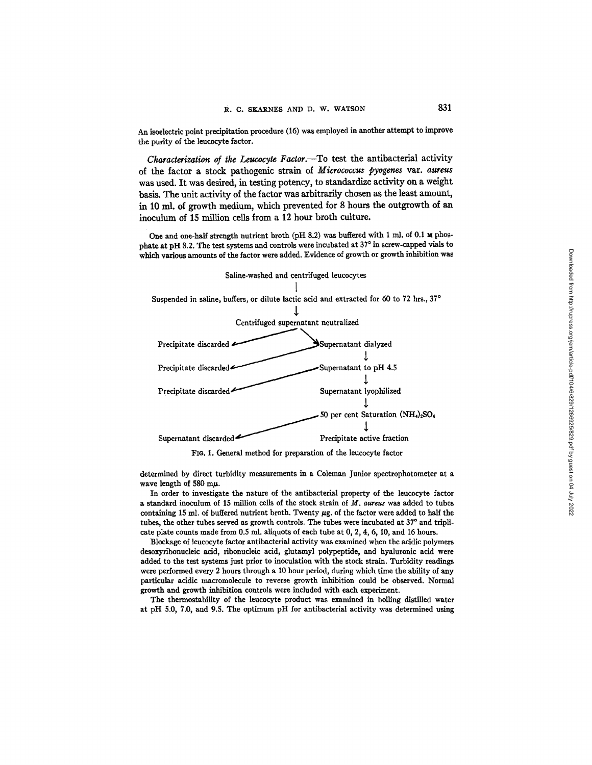**An isoelectric point precipitation procedure (16) was employed in another attempt to improve the purity of the leucocyte factor.** 

*Characterization of the Leucocyte Factor*.--To test the antibacterial activity **of the factor a stock pathogenic strain of** *Micrococcus pyogenes* **var.** *aureus*  **was used. It was desired, in testing potency, to standardize activity on a weight basis. The unit activity of the factor was arbitrarily chosen as the least amount, in 10 ml. of growth medium, which prevented for 8 hours the outgrowth of an**  inoculum of 15 million cells from a 12 hour broth culture.

One and one-half strength nutrient broth (pH 8.2) was buffered with 1 ml. of 0.1 **M** phosphate at pH 8.2. The test systems and controls were incubated at 37° in screw-capped vials to **which various amounts of the factor were added. Evidence of growth or growth inhibition was** 



FIo. 1. General method for preparation of the leucocyte factor

determined by direct turbidity measurements in a Coleman Junior spectrophotometer at a wave length of 580 m $\mu$ .

In order to investigate the nature of the antihacterial property of the leucocyte factor a standard inoculum of 15 million cells of the stock strain of  $M$ , aureus was added to tubes containing 15 ml. of buffered nutrient broth. Twenty  $\mu$ g. of the factor were added to half the tubes, the other tubes served as growth controls. The tubes were incubated at 37° and triplicate plate counts made from 0.5 ml. aliquots of each tube at 0, 2, 4, 6, 10, and 16 hours.

Blockage of leucocyte factor antibacterial activity was examined when the acidic polymers desoxyribonucleic acid, ribonucleic acid, glutamyl polypeptide, and hyaluronic acid were added to the test systems just prior to inoculation with the stock strain. Turbidity readings were performed every 2 hours through a 10 hour period, during which time the ability of any particular acidic macromolecule to reverse growth inhibition could be observed. Normal growth and growth inhibition controls were included with each experiment.

The thermostability of the leucocyte product was examined in boiling distilled water at pH 5.0, 7.0, and 9.5. The optimum pH for antihacterial activity was determined using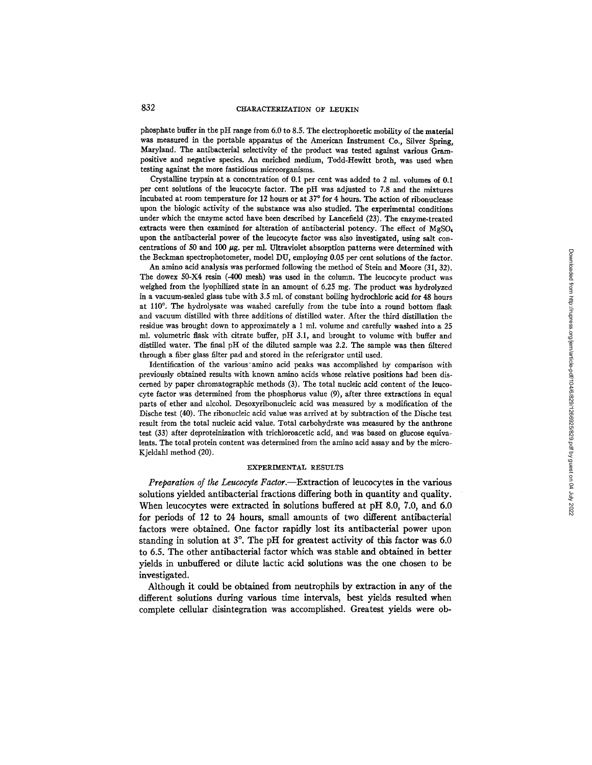phosphate buffer in the pH range from 6.0 to 8.S. The electrophoretic mobility of the material was measured in the portable apparatus of the American Instrument Co., Silver Spring, Maryland. The antibacterial selectivity of the product was tested against various Grampositive and negative species. An enriched medium, Todd-Hewitt broth, was used when testing against the more fastidious microorganisms.

Crystalline trypsin at a concentration of 0.1 per cent was added to 2 ml. volumes of 0.I per cent solutions of the leucocyte factor. The pH was adjusted to 7.8 and the mixtures incubated at room temperature for 12 hours or at  $37^{\circ}$  for 4 hours. The action of ribonuclease upon the biologic activity of the substance was also studied. The experimental conditions under which the enzyme acted have been described by Lancefield (23). The enzyme-treated extracts were then examined for alteration of antibacterial potency. The effect of MgSO4 upon the antibacterial power of the leucocyte factor was also investigated, using salt concentrations of 50 and 100  $\mu$ g. per ml. Ultraviolet absorption patterns were determined with the Beckman spectrophotometer, model DU, employing 0.05 per cent solutions of the factor.

An amino acid analysis was performed following the method of Stein and Moore (31, 32). The dowex 50-X4 resin (-400 mesh) was used in the column. The leucocyte product was weighed from the lyophilized state in an amount of 6.25 mg. The product was hydrolyzed in a vacuum-sealed glass tube with 3.5 ml. of constant boiling hydrochloric acid for 48 hours at 110°. The hydrolysate was washed carefully from the tube into a round bottom flask and vacuum distilled with three additions of distilled water. After the third distillation the residue was brought down to approximately a l ml. volume and carefully washed into a 25 ml. volumetric flask with citrate buffer, pH 3.1, and brought to volume with buffer and distilled water. The final pH of the diluted sample was 2.2. The sample was then filtered through a fiber glass filter pad and stored in the referigrator until used.

Identification of the various'amino acid peaks was accomplished by comparison with previously obtained results with known amino acids whose relative positions had been discerned by paper chromatographic methods (3). The total nucleic acid content of the leucocyte factor was determined from the phosphorus value (9), after three extractions in equal parts of ether and alcohol. Desoxyribonucleic acid was measured by a modification of the Dische test (40). The ribonucleic acid value was arrived at by subtraction of the Dische test result from the total nucleic acid value. Total carbohydrate was measured by the anthrone test (33) after deproteinization with trichloroacetic acid, and was based on glucose equivalents. The total protein content was determined from the amino acid assay and by the micro-Kjeldahl method (20).

### EXPERIMENTAL RESULTS

*Preparation of the Leucocyte Factor.*--Extraction of leucocytes in the various solutions yielded antibacterial fractions differing both in quantity and quality. When leucocytes were extracted in solutions buffered at pH 8.0, 7.0, and 6.0 for periods of 12 to 24 hours, small amounts of two different antibacterial factors were obtained. One factor rapidly lost its antibacterial power upon standing in solution at  $3^\circ$ . The pH for greatest activity of this factor was 6.0 to 6.5. The other antibacterial factor which was stable and obtained in better yields in unbuffered or dilute lactic acid solutions was the one chosen to be investigated.

Although it could be obtained from neutrophils by extraction in any of the different solutions during various time intervals, best yields resulted when complete cellular disintegration was accomplished. Greatest yields were ob-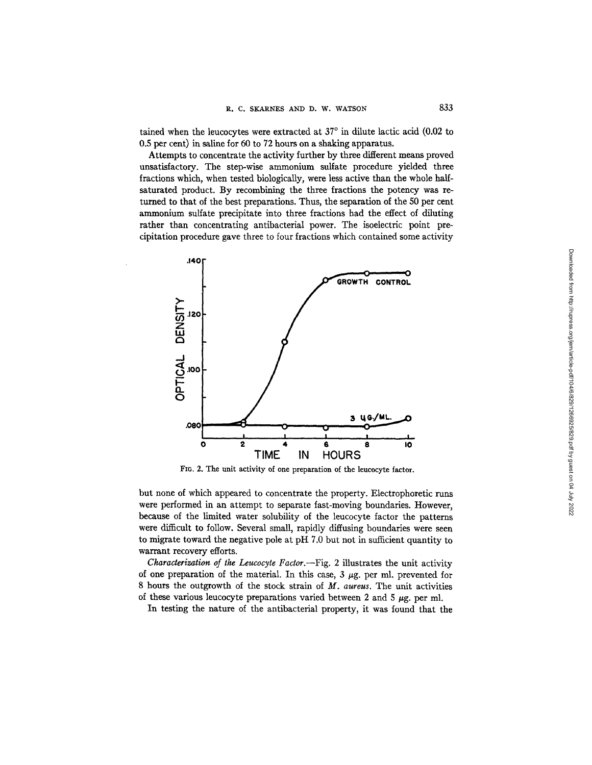tained when the leucocytes were extracted at  $37^{\circ}$  in dilute lactic acid (0.02 to 0.5 per cent) in saline for 60 to 72 hours on a shaking apparatus.

Attempts to concentrate the activity further by three different means proved unsatisfactory. The step-wise ammonium sulfate procedure yielded three fractions which, when tested biologically, were less active than the whole halfsaturated product. By recombining the three fractions the potency was returned to that of the best preparations. Thus, the separation of the 50 per cent ammonium sulfate precipitate into three fractions had the effect of diluting rather than concentrating antibacterial power. The isoelectric point precipitation procedure gave three to four fractions which contained some activity



FIG. 2. The unit activity of one preparation of the leucocyte factor.

but none of which appeared to concentrate the property. Electrophoretic runs were performed in an attempt to separate fast-moving boundaries. However, because of the limited water solubility of the leucocyte factor the patterns were difficult to follow. Several small, rapidly diffusing boundaries were seen to migrate toward the negative pole at  $pH$  7.0 but not in sufficient quantity to warrant recovery efforts.

*Characterization of the Leucocyte Factor.--Fig.* 2 illustrates the unit activity of one preparation of the material. In this case,  $3 \mu$ g. per ml. prevented for 8 hours the outgrowth of the stock strain of *M. aureus.* The unit activities of these various leucocyte preparations varied between 2 and 5  $\mu$ g. per ml.

In testing the nature of the antibacterial property, it was found that the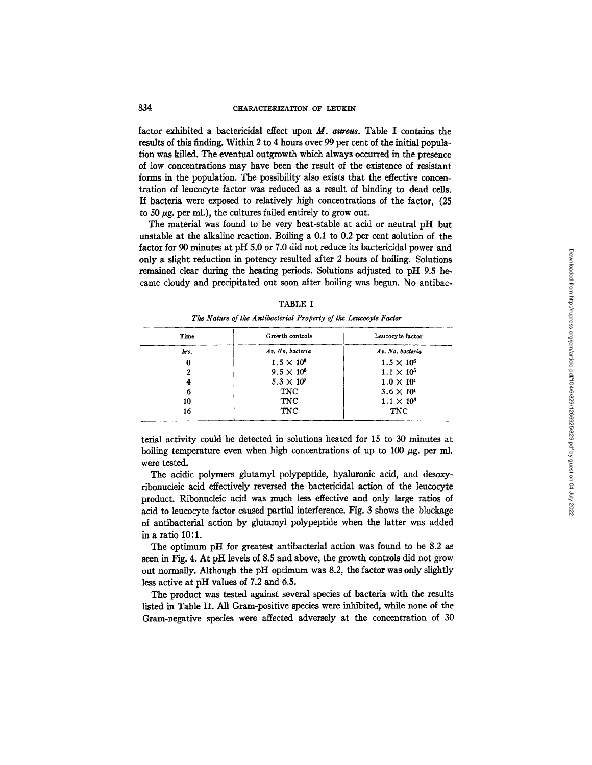factor exhibited a bactericidal effect upon *M. aureus.* Table I contains the results of this finding. Within 2 to 4 hours over 99 per cent of the initial population was killed. The eventual outgrowth which always occurred in the presence of low concentrations may have been the result of the existence of resistant forms in the population. The possibility also exists that the effective concentration of leucocyte factor was reduced as a result of binding to dead cells. If bacteria were exposed to relatively high concentrations of the factor, (25 to 50  $\mu$ g. per ml.), the cultures failed entirely to grow out.

The material was found to be very heat-stable at acid or neutral pH but unstable at the alkaline reaction. Boiling a 0.1 to 0.2 per cent solution of the factor for 90 minutes at pH 5.0 or 7.0 did not reduce its bactericidal power and only a slight reduction in potency resulted after 2 hours of boiling. Solutions remained clear during the heating periods. Solutions adjusted to pH 9.5 became cloudy and precipitated out soon after boiling was begun. No antibac-

| Time | Growth controls     | Leucocyte factor    |
|------|---------------------|---------------------|
| hrs. | Av. No. bacteria    | Av. No. bacteria    |
|      | $1.5 \times 10^{6}$ | $1.5 \times 10^{6}$ |
|      | $9.5 \times 10^{6}$ | $1.1 \times 10^{5}$ |
|      | $5.3 \times 10^{7}$ | $1.0 \times 10^4$   |
|      | <b>TNC</b>          | $3.6 \times 10^{4}$ |
| 10   | <b>TNC</b>          | $1.1 \times 10^6$   |
| 16   | TNC                 | <b>TNC</b>          |

TABLE I

| The Nature of the Antibacterial Property of the Leucocyte Factor |  |
|------------------------------------------------------------------|--|
|                                                                  |  |

terial activity could be detected in solutions heated for 15 to 30 minutes at boiling temperature even when high concentrations of up to 100  $\mu$ g. per ml. were tested.

The acidic polymers glutamyl polypeptide, hyaluronic acid, and desoxyribonucleic acid effectively reversed the bactericidal action of the leucocyte product. Ribonucleic acid was much less effective and only large ratios of acid to leucocyte factor caused partial interference. Fig. 3 shows the blockage of antibacterial action by glutamyl polypeptide when the latter was added in a ratio 10:1.

The optimum pH for greatest antibacterial action was found to be 8.2 as seen in Fig. 4. At pH levels of 8.5 and above, the growth controls did not grow out normally. Although the pH optimum was 8.2, the factor was only slightly less active at pH values of 7.2 and 6.5.

The product was tested against several species of bacteria with the results listed in Table II. All Gram-positive species were inhibited, while none of the Gram-negative species were affected adversely at the concentration of 30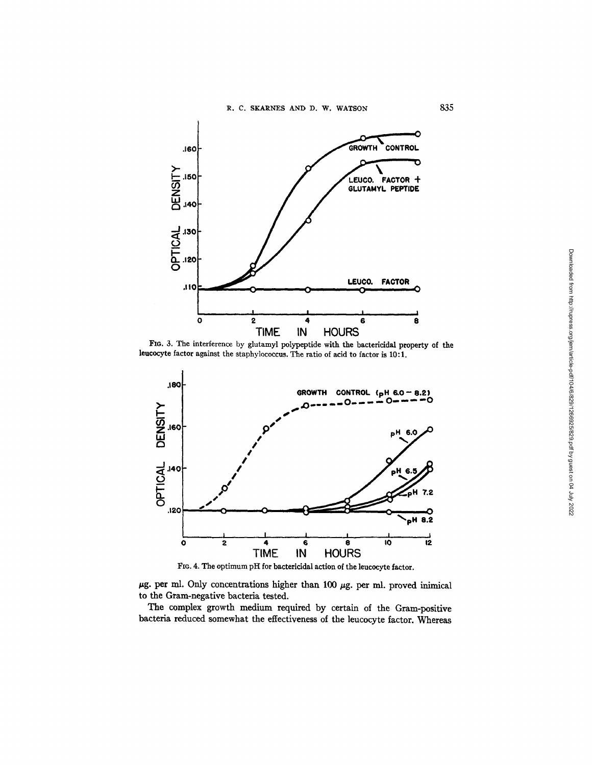

FIG. 3. The interference by glutamyl polypeptide with the bactericidal property of the leucocyte factor against the staphylococcus. The ratio of acid to factor is 10:1.



FIO. 4. The optimum pH for bactericidal action of the leucocyte factor.

 $\mu$ g. per ml. Only concentrations higher than 100  $\mu$ g. per ml. proved inimical to the Gram-negative bacteria tested.

The complex growth medium required by certain of the Gram-positive bacteria reduced somewhat the effectiveness of the leucocyte factor. Whereas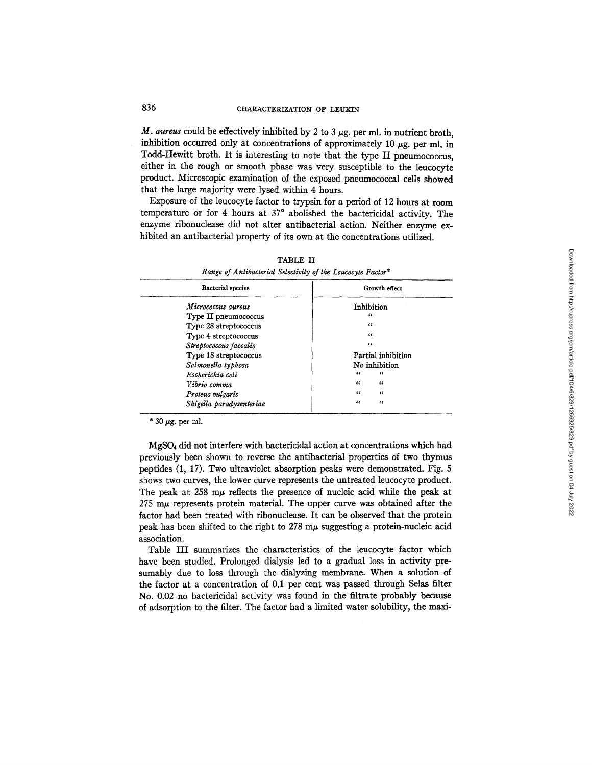$M$ . aureus could be effectively inhibited by 2 to 3  $\mu$ g. per ml. in nutrient broth, inhibition occurred only at concentrations of approximately 10  $\mu$ g. per ml. in Todd-Hewitt broth. It is interesting to note that the type II pneumococcus, either in the rough or smooth phase was very susceptible to the leucocyte product. Microscopic examination of the exposed pneumococcal cells showed that the large majority were lysed within 4 hours.

Exposure of the leucocyte factor to trypsin for a period of 12 hours at room temperature or for 4 hours at 37° abolished the bactericidal activity. The enzyme ribonuclease did not alter antibacterial action. Neither enzyme exhibited an antibacterial property of its own at the concentrations utilized.

| <b>Bacterial</b> species | Growth effect            |
|--------------------------|--------------------------|
| Micrococcus aureus       | Inhibition               |
| Type II pneumococcus     | "                        |
| Type 28 streptococcus    | $\epsilon$               |
| Type 4 streptococcus     | $\epsilon$               |
| Streptococcus faecalis   | $\epsilon$               |
| Type 18 streptococcus    | Partial inhibition       |
| Salmonella typhosa       | No inhibition            |
| Escherichia coli         | "<br>$\epsilon$          |
| Vibrio comma             | $\epsilon$<br>$\epsilon$ |
| Proteus vulgaris         | $\epsilon$<br>$\epsilon$ |
| Shigella paradysenteriae | $\epsilon$<br>$\epsilon$ |

TABLE II *Range of Antibacterial Selectivity of the Leucocyte Factor\** 

 $*$  30  $\mu$ g. per ml.

MgSO4 did not interfere with bactericidal action at concentrations which had previously been shown to reverse the antibacterial properties of two thymus peptides (1, 17). Two ultraviolet absorption peaks were demonstrated. Fig. 5 shows two curves, the lower curve represents the untreated leucocyte product. The peak at  $258 \text{ m}\mu$  reflects the presence of nucleic acid while the peak at  $275~\text{m}\mu$  represents protein material. The upper curve was obtained after the factor had been treated with ribonuclease. It can be observed that the protein peak has been shifted to the right to  $278 \text{ m}\mu$  suggesting a protein-nucleic acid association.

Table III summarizes the characteristics of the leucocyte factor which have been studied. Prolonged dialysis led to a gradual loss in activity presumably due to loss through the dialyzing membrane. When a solution of the factor at a concentration of 0.1 per cent was passed through Selas filter No. 0.02 no bactericidal activity was found in the filtrate probably because of adsorption to the filter. The factor had a limited water solubility, the maxi-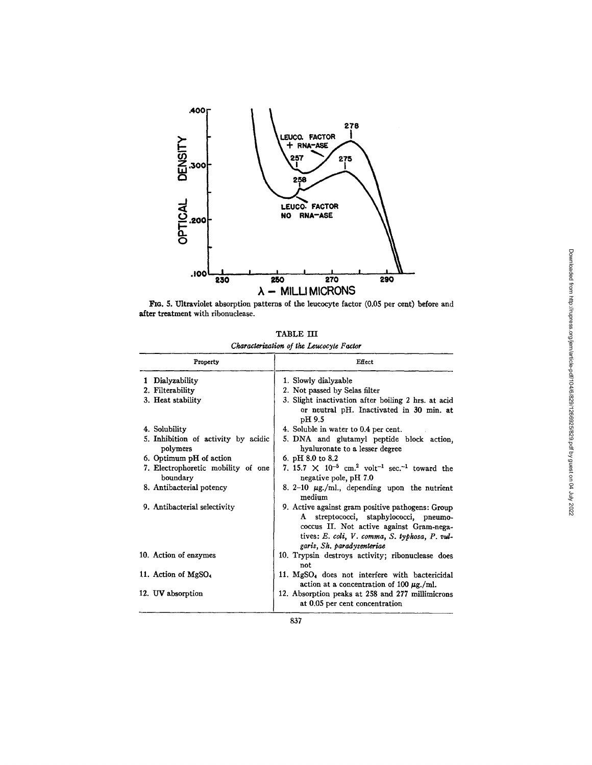

FIG. 5. Ultraviolet absorption patterns of the leucocyte factor (0.05 per cent) before and after treatment with ribonuclease.

| TABLE III |                                          |
|-----------|------------------------------------------|
|           | Characterization of the Leucocyte Factor |

| Property                                        | Effect                                                                                                                                                                                                                |
|-------------------------------------------------|-----------------------------------------------------------------------------------------------------------------------------------------------------------------------------------------------------------------------|
| 1 Dialyzability                                 | 1. Slowly dialyzable                                                                                                                                                                                                  |
| 2. Filterability                                | 2. Not passed by Selas filter                                                                                                                                                                                         |
| 3. Heat stability                               | 3. Slight inactivation after boiling 2 hrs. at acid<br>or neutral pH. Inactivated in 30 min. at<br>pH 9.5                                                                                                             |
| 4. Solubility                                   | 4. Soluble in water to 0.4 per cent.                                                                                                                                                                                  |
| 5. Inhibition of activity by acidic<br>polymers | 5. DNA and glutamyl peptide block action,<br>hyaluronate to a lesser degree                                                                                                                                           |
| 6. Optimum pH of action                         | 6. pH $8.0$ to $8.2$                                                                                                                                                                                                  |
| 7. Electrophoretic mobility of one<br>boundary  | 7. 15.7 $\times$ 10 <sup>-5</sup> cm. <sup>2</sup> volt <sup>-1</sup> sec. <sup>-1</sup> toward the<br>negative pole, pH 7.0                                                                                          |
| 8. Antibacterial potency                        | 8. 2-10 $\mu$ g./ml., depending upon the nutrient<br>medium                                                                                                                                                           |
| 9. Antibacterial selectivity                    | 9. Active against gram positive pathogens: Group<br>A streptococci, staphylococci, pneumo-<br>coccus II. Not active against Gram-nega-<br>tives: E. coli, V. comma, S. typhosa, P. vul-<br>garis, Sh. paradysenteriae |
| 10. Action of enzymes                           | 10. Trypsin destroys activity; ribonuclease does<br>not                                                                                                                                                               |
| 11. Action of MgSO <sub>1</sub>                 | 11. MgSO <sub>4</sub> does not interfere with bactericidal<br>action at a concentration of 100 $\mu$ g./ml.                                                                                                           |
| 12. UV absorption                               | 12. Absorption peaks at 258 and 277 millimicrons<br>at 0.05 per cent concentration                                                                                                                                    |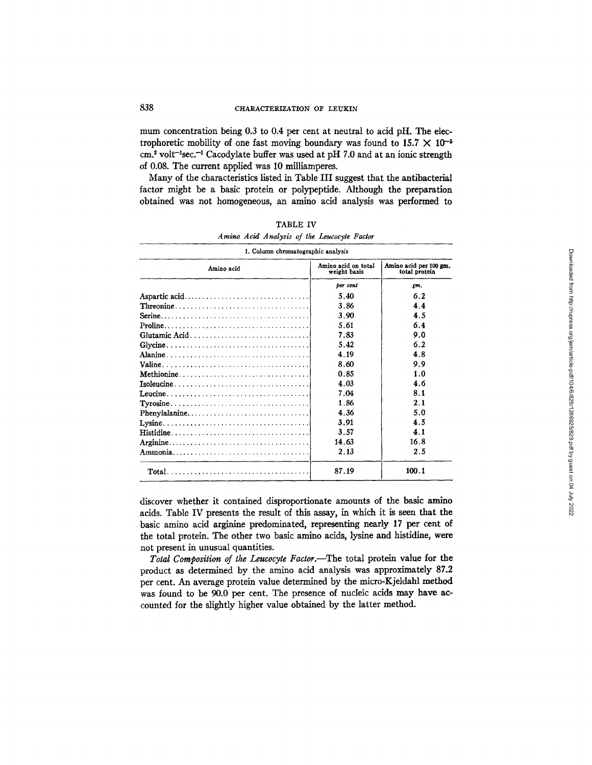mum concentration being 0.3 to 0.4 per cent at neutral to acid pH. The electrophoretic mobility of one fast moving boundary was found to  $15.7 \times 10^{-5}$  $cm<sup>2</sup>$  volt<sup>-1</sup>sec.<sup>-1</sup> Cacodylate buffer was used at pH 7.0 and at an ionic strength of 0.08. The current applied was 10 milliamperes.

Many of the characteristics listed in Table III suggest that the antibacterial factor might be a basic protein or polypeptide. Although the preparation obtained was not homogeneous, an amino acid analysis was performed to

| Amino acid                                                                            | Amino acid on total<br>weight basis | Amino acid per 100 gm.<br>total protein |  |
|---------------------------------------------------------------------------------------|-------------------------------------|-----------------------------------------|--|
|                                                                                       | ber cent                            | gm.                                     |  |
|                                                                                       | 5.40                                | 6.2                                     |  |
|                                                                                       | 3.86                                | 4.4                                     |  |
|                                                                                       | 3.90                                | 4.5                                     |  |
|                                                                                       | 5.61                                | 6.4                                     |  |
|                                                                                       | 7.83                                | 9.0                                     |  |
|                                                                                       | 5.42                                | 6.2                                     |  |
|                                                                                       | 4.19                                | 4.8                                     |  |
|                                                                                       | 8.60                                | 9.9                                     |  |
|                                                                                       | 0.85                                | 1.0                                     |  |
| $Isoleucine \ldots \ldots \ldots \ldots \ldots \ldots \ldots \ldots$                  | 4.03                                | 4.6                                     |  |
|                                                                                       | 7.04                                | 8.1                                     |  |
| $Tyrosine \ldots \ldots \ldots \ldots \ldots \ldots \ldots \ldots \ldots \ldots$      | 1.86                                | 2.1                                     |  |
|                                                                                       | 4.36                                | 5.0                                     |  |
|                                                                                       | 3.91                                | 4.5                                     |  |
|                                                                                       | 3.57                                | 4.1                                     |  |
|                                                                                       | 14.63                               | 16.8                                    |  |
|                                                                                       | 2.13                                | 2.5                                     |  |
| $Total \dots \dots \dots \dots \dots \dots \dots \dots \dots \dots \dots \dots \dots$ | 87.19                               | 100.1                                   |  |

|  | TABLE IV |  |                                             |  |
|--|----------|--|---------------------------------------------|--|
|  |          |  | Amino Acid Analysis of the Leucocyte Factor |  |

discover whether it contained disproportionate amounts of the basic amino acids. Table IV presents the result of this assay, in which it is seen that the basic amino acid arginine predominated, representing nearly 17 per cent of the total protein. The other two basic amino acids, lysine and histidine, were not present in unusual quantities.

Total Composition of the Leucocyte Factor.-The total protein value for the product as determined by the amino acid analysis was approximately 87.2 per cent. An average protein value determined by the micro-Kjeldahl method was found to be 90.0 per cent. The presence of nucleic acids may have accounted for the slightly higher value obtained by the latter method.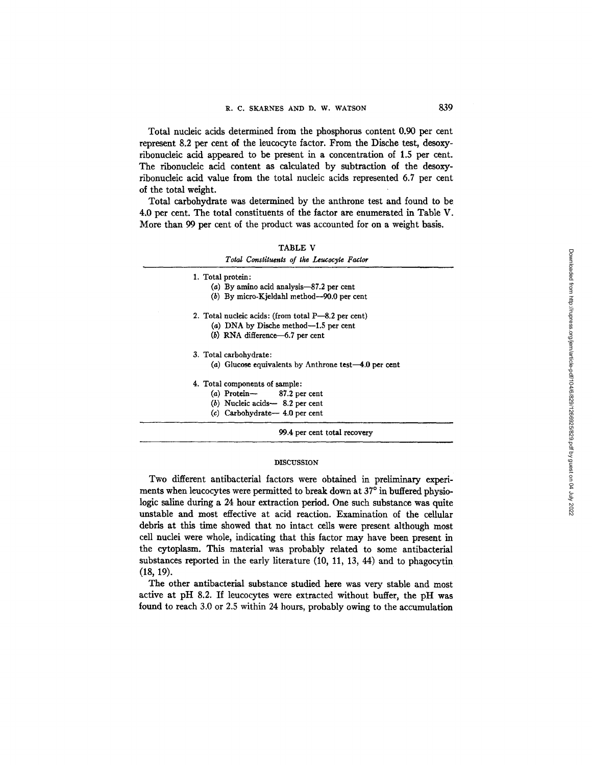Total nucleic acids determined from the phosphorus content 0.90 per cent represent 8.2 per cent of the leucocyte factor. From the Dische test, desoxyribonucleic acid appeared to be present in a concentration of 1.5 per cent. The ribonucleic acid content as calculated by subtraction of the desoxyribonucleic acid value from the total nucleic acids represented 6.7 per cent of the total weight.

Total carbohydrate was determined by the anthrone test and found to be 4.0 per cent. The total constituents of the factor are enumerated in Table V. More than 99 per cent of the product was accounted for on a weight basis.

| . .<br>ART.<br>ı |  |
|------------------|--|
|------------------|--|

| 1. Total protein:                                        |
|----------------------------------------------------------|
| (a) By amino acid analysis— $87.2$ per cent              |
| $(b)$ By micro-Kjeldahl method—90.0 per cent             |
| 2. Total nucleic acids: (from total $P$ —8.2 per cent)   |
| (a) DNA by Dische method—1.5 per cent                    |
| $(b)$ RNA difference $-6.7$ per cent                     |
| 3. Total carbohydrate:                                   |
| (a) Glucose equivalents by Anthrone test $-4.0$ per cent |
| 4. Total components of sample:                           |
| $(a)$ Protein $-$ 87.2 per cent                          |
| $(b)$ Nucleic acids $-$ 8.2 per cent                     |
| $(c)$ Carbohydrate $-4.0$ per cent                       |

# DISCUSSION

Two different antibacterial factors were obtained in preliminary experiments when leucocytes were permitted to break down at 37° in buffered physiologic saline during a 24 hour extraction period. One such substance was quite unstable and most effective at acid reaction. Examination of the cellular debris at this time showed that no intact cells were present although most cell nuclei were whole, indicating that this factor may have been present in the cytoplasm. This material was probably related to some antibacterial substances reported in the early literature (10, 11, 13, 44) and to phagocytin (18, 19).

The other antibacterial substance studied here was very stable and most active at pH 8.2. If leucocytes were extracted without buffer, the pH was found to reach 3.0 or 2.5 within 24 hours, probably owing to the accumulation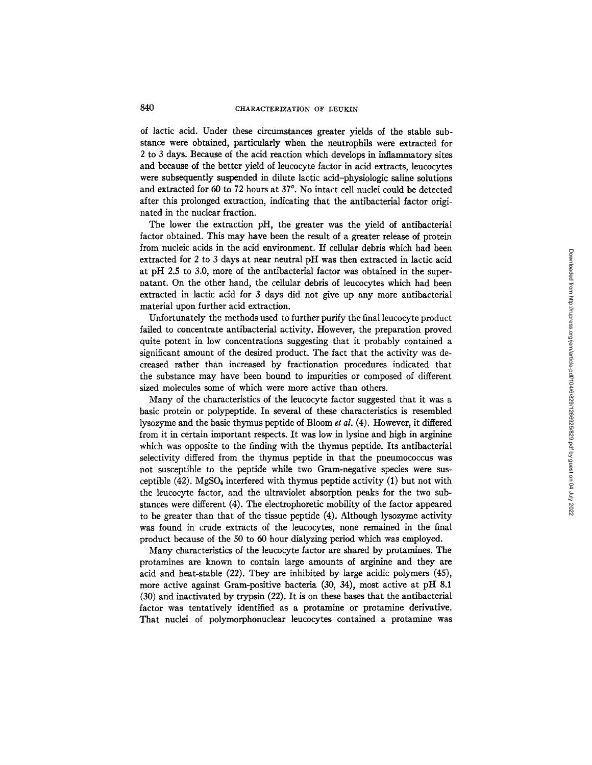of lactic acid. Under these circumstances greater yields of the stable substance were obtained, particularly when the neutrophils were extracted for 2 to 3 days. Because of the acid reaction which develops in inflammatory sites and because of the better yield of leucocyte factor in acid extracts, leucocytes were subsequently suspended in dilute lactic acid-physiologic saline solutions and extracted for 60 to 72 hours at 37°. No intact cell nuclei could be detected after this prolonged extraction, indicating that the antibacterial factor originated in the nuclear fraction.

The lower the extraction pH, the greater was the yield of antibacterial factor obtained. This may have been the result of a greater release of protein from nucleic acids in the acid environment. If cellular debris which had been extracted for 2 to 3 days at near neutral pH was then extracted in lactic acid at pH 2.5 to 3.0, more of the antibacterial factor was obtained in the supernatant. On the other hand, the cellular debris of leucocytes which had been extracted in lactic acid for 3 days did not give up any more antibacterial material upon further acid extraction.

Unfortunately the methods used to further purify the final leucocyte product failed to concentrate antibacterial activity. However, the preparation proved quite potent in low concentrations suggesting that it probably contained a significant amount of the desired product. The fact that the activity was decreased rather than increased by fractionation procedures indicated that the substance may have been bound to impurities or composed of different sized molecules some of which were more active than others.

Many of the characteristics of the leucocyte factor suggested that it was a basic protein or polypeptide. In several of these characteristics is resembled lysozyme and the basic thymus peptide of Bloom *et al.* (4). However, it differed from it in certain important respects. It was low in lysine and high in arginine which was opposite to the finding with the thymus peptide. Its antibacterial selectivity differed from the thymus peptide in that the pneumococcus was not susceptible to the peptide while two Gram-negative species were susceptible  $(42)$ . MgSO<sub>4</sub> interfered with thymus peptide activity  $(1)$  but not with the leucocyte factor, and the ultraviolet absorption peaks for the two substances were different (4). The electrophoretic mobility of the factor appeared to be greater than that of the tissue peptide (4). Although lysozyme activity was found in crude extracts of the leucocytes, none remained in the final product because of the 50 to 60 hour dialyzing period which was employed.

Many characteristics of the leucocyte factor are shared by protamines. The protamines are known to contain large amounts of arginine and they are acid and heat-stable (22). They are inhibited by large acidic polymers (45), more active against Gram-positive bacteria (30, 34), most active at pH 8.1 (30) and inactivated by trypsin (22). It is on these bases that the antibacterial factor was tentatively identified as a protamine or protamine derivative. That nuclei of polymorphonuclear leucocytes contained a protamine was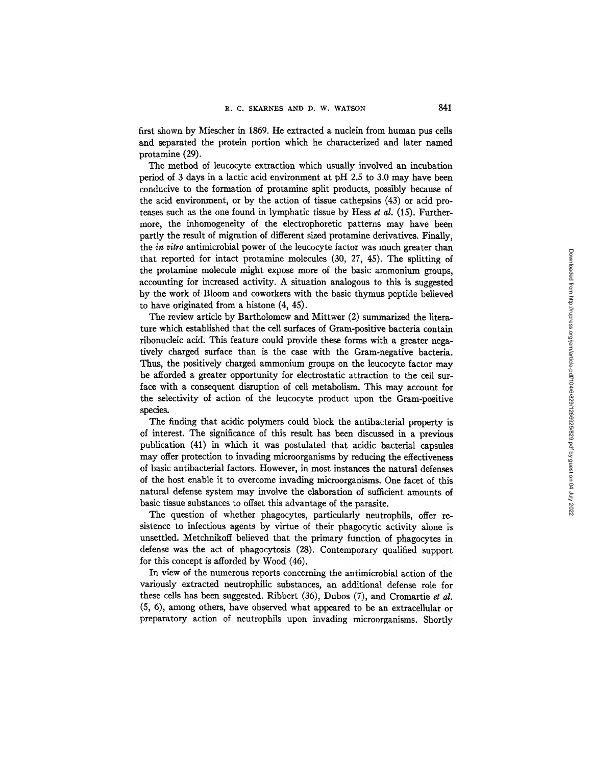first shown by Miescher in 1869. He extracted a nuclein from human pus cells and separated the protein portion which he characterized and later named protamine (29).

The method of leucocyte extraction which usually involved an incubation period of 3 days in a lactic acid environment at pH  $2.5$  to 3.0 may have been conducive to the formation of protamine split products, possibly because of the acid environment, or by the action of tissue cathepsins (43) or acid proteases such as the one found in lymphatic tissue by Hess *et al.* (15). Furthermore, the inhomogeneity of the electrophoretic patterns may have been partly the result of migration of different sized protamine derivatives. Finally, the *in vitro* antimicrobial power of the leucocyte factor was much greater than that reported for intact protamine molecules (30, 27, 45). The splitting of the protamine molecule might expose more of the basic ammonium groups, accounting for increased activity. A situation analogous to this is suggested by the work of Bloom and coworkers with the basic thymus peptide believed to have originated from a histone (4, 45).

The review article by Bartholomew and Mittwer (2) summarized the literature which established that the cell surfaces of Gram-positive bacteria contain ribonucleic acid. This feature could provide these forms with a greater negatively charged surface than is the case with the Gram-negative bacteria. Thus, the positively charged ammonium groups on the leucocyte factor may be afforded a greater opportunity for electrostatic attraction to the cell surface with a consequent disruption of cell metabolism. This may account for the selectivity of action of the leucocyte product upon the Gram-positive species.

The finding that acidic polymers could block the antibacterial property is of interest. The significance of this result has been discussed in a previous publication (41) in which it was postulated that acidic bacterial capsules may offer protection to invading microorganisms by reducing the effectiveness of basic antibacterial factors. However, in most instances the natural defenses of the host enable it to overcome invading microorganisms. One facet of this natural defense system may involve the elaboration of sufficient amounts of basic tissue substances to offset this advantage of the parasite.

The question of whether phagocytes, particularly neutrophils, offer resistence to infectious agents by virtue of their phagocytic activity alone is unsettled. Metchnikoff believed that the primary function of phagocytes in defense was the act of phagocytosis (28). Contemporary qualified support for this concept is afforded by Wood (46).

In view of the numerous reports concerning the antimicrobial action of the variously extracted neutrophilic substances, an additional defense role for these cells has been suggested. Ribbert (36), Dubos (7), and Cromartie *et al.*  (5, 6), among others, have observed what appeared to be an extracellular or preparatory action of neutrophils upon invading microorganisms. Shortly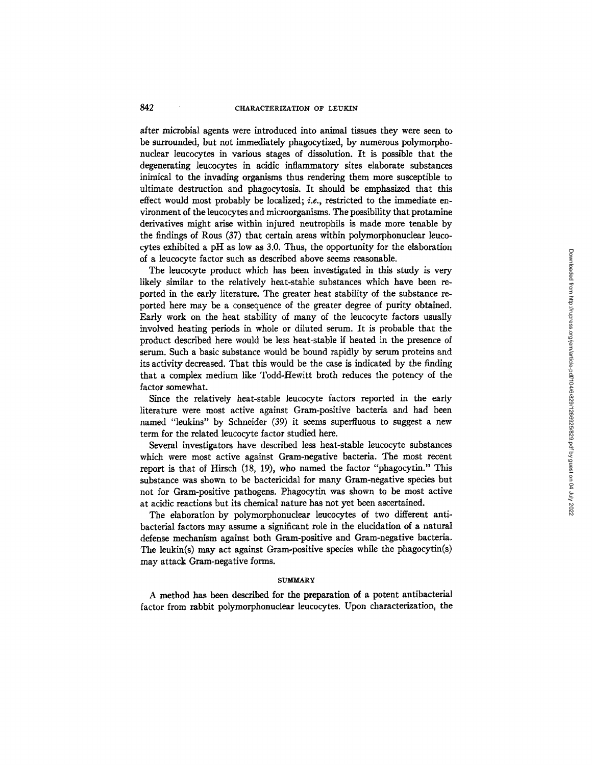after microbial agents were introduced into animal tissues they were seen to be surrounded, but not immediately phagocytized, by numerous polymorphonuclear leucocytes in various stages of dissolution. It is possible that the degenerating leucocytes in acidic inflammatory sites elaborate substances inimical to the invading organisms thus rendering them more susceptible to ultimate destruction and phagocytosis. It should be emphasized that this effect would most probably be localized; *i.e.,* restricted to the immediate environment of the leucocytes and microorganisms. The possibility that protamine derivatives might arise within injured neutrophils is made more tenable by the findings of Rous (37) that certain areas within polymorphonuclear leucocytes exhibited a pH as low as 3.0. Thus, the opportunity for the elaboration of a leucocyte factor such as described above seems reasonable.

The leucocyte product which has been investigated in this study is very likely similar to the relatively heat-stable substances which have been reported in the early literature. The greater heat stability of the substance reported here may be a consequence of the greater degree of purity obtained. Early work on the heat stability of many of the leucocyte factors usually involved heating periods in whole or diluted serum. It is probable that the product described here would be less heat-stable if heated in the presence of serum. Such a basic substance would be bound rapidly by serum proteins and its activity decreased. That this would be the case is indicated by the finding that a complex medium like Todd-Hewitt broth reduces the potency of the factor somewhat.

Since the relatively heat-stable leucocyte factors reported in the early literature were most active against Gram-positive bacteria and had been named "leukins" by Schneider (39) it seems superfluous to suggest a new term for the related leucocyte factor studied here.

Several investigators have described less heat-stable leucocyte substances which were most active against Gram-negative bacteria. The most recent report is that of Hirsch (18, 19), who named the factor "phagocytin." This substance was shown to be bactericidal for many Gram-negative species hut not for Gram-positive pathogens. Phagocytin was shown to be most active at acidic reactions but its chemical nature has not yet been ascertained.

The elaboration by polymorphonuclear leucocytes of two different antibacterial factors may assume a significant role in the elucidation of a natural defense mechanism against both Gram-positive and Gram-negative bacteria. The leukin(s) may act against Gram-positive species while the phagocytin(s) may attack Gram-negative forms.

#### **SUMMARY**

A method has been described for the preparation of a potent antibacterial factor from rabbit polymorphonuclear leucocytes. Upon characterization, the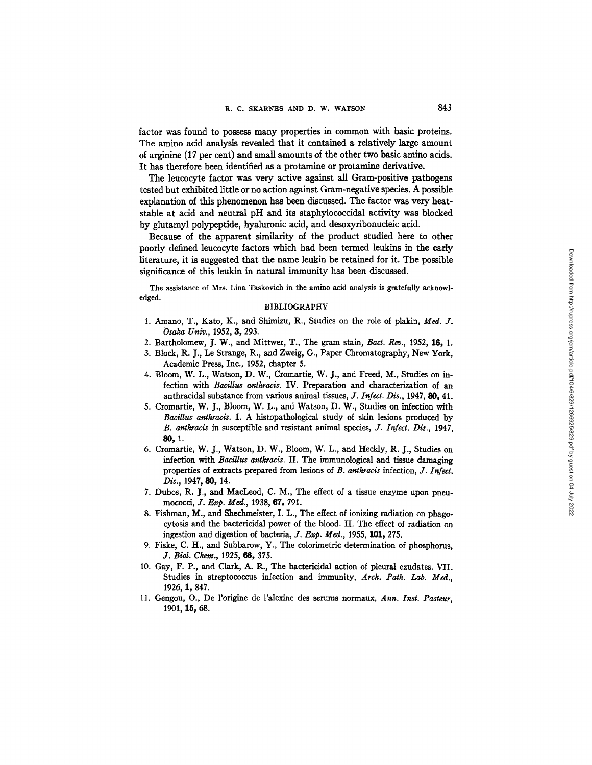factor was found to possess many properties in common with basic proteins. The amino acid analysis revealed that it contained a relatively large amount of arginine (17 per cent) and small amounts of the other two basic amino acids. It has therefore been identified as a protamine or protamine derivative.

The leucocyte factor was very active against all Gram-positive pathogens tested but exhibited little or no action against Gram-negative species. A possible explanation of this phenomenon has been discussed. The factor was very heatstable at acid and neutral pH and its staphylococcidal activity was blocked by glutamyl polypeptide, hyaluronic acid, and desoxyribonucleic acid.

Because of the apparent similarity of the product studied here to other poorly defined leucocyte factors which had been termed leukins in the early literature, it is suggested that the name leukin be retained for it. The possible significance of this leukin in natural immunity has been discussed.

The assistance of Mrs. Lina Taskovich in the amino acid analysis is gratefully acknowledged.

### BIBLIOGRAPHY

- 1. Amano, T., Kato, K., and Shimizu, R., Studies on the role of plakin, Med. J. *Osaka Univ.,* 1952, 3, 293.
- 2. Bartholomew, J. W., and Mittwer, T., The gram stain, *Bact. Rev.,* 1952, 16, 1.
- 3. Block, R. J., Le Strange, R., and Zweig, G., Paper Chromatography, New York, Academic Press, Inc., 1952, chapter 5.
- 4. Bloom, W. L., Watson, D. W., Cromartie, W. J., and Freed, M., Studies on infection with *Bacillus anthracis.* IV. Preparation and characterization of an anthracidal substance from various animal tissues, *Y. Infect. Dis.,* 1947, 80, 41.
- 5. Cromarfie, W. J., Bloom, W. *L.,* and Watson, D. W., Studies on infection with *Bacillus antkracis.* I. A histopathological study of skin lesions produced by *B. antkracis* in susceptible and resistant animal species, *J. I~fect. Dis.,* 1947, 80, 1.
- 6. Cromartie, W. J., Watson, D. W., Bloom, W. L., and Heckly, R. J., Studies on infection with *Bacillus antkracis.* II. The immunological and tissue damaging properties of extracts prepared from lesions of *B. antkracis* infection, *J. Infect. Dis.,* 1947, 80, 14.
- 7. Dubos, R. J., and MacLeod, C. M., The effect of a tissue enzyme upon pneumococci, *J. Exp. Med.,* 1938, 67, 791.
- 8. Fishman, M., and Shechmeister, I. *L.,* The effect of ionizing radiation on phagocytosis and the bactericidal power of the blood. II. The effect of radiation on ingestion and digestion of bacteria, *J. Exp. Med.,* 1955, 101, 275.
- 9. Fiske, C. H., and Subbarow, Y., The colorimetric determination of phosphorus, *Y. Biol. Chem.,* 1925, 66, 375.
- 10. Gay, F. P., and Clark, A. R., The bactericidal action of pleural exudates. VII. Studies in streptococcus infection and immunity, *Arck. Path. Lab. Med.,*  1926, 1,847.
- 11. Gengou, O., De l'origine de l'alexine des serums normaux, *Ann. Inst. Pasteur,*  1901, 15, 68.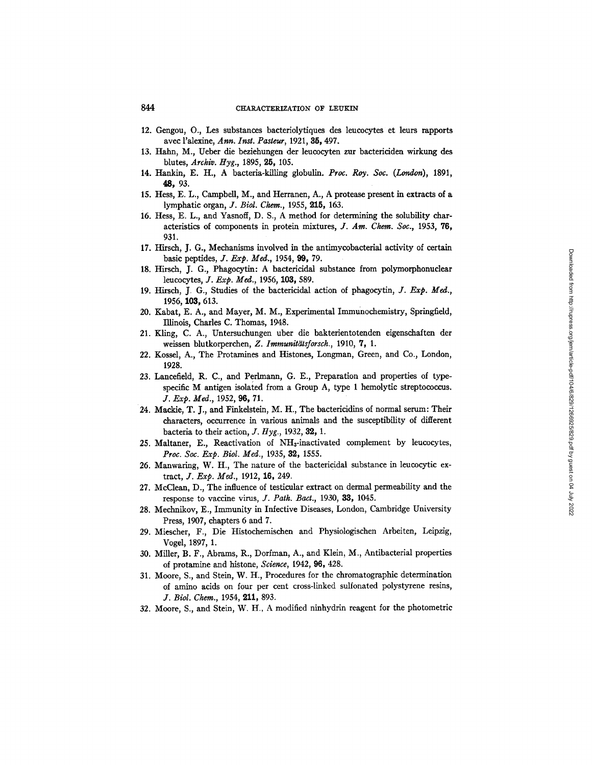- 12. Gengou, O., Les substances bacteriolytiques des leucocytes et leurs rapports avec l'alexine, *Ann. Inst. Pasteur,* 1921, 35, 497.
- 13. Hahn, M., Ueber die beziehungen der leucocyten zur bactericiden wirkung des blutes, *Archly. Hyg.,* 1895, 25, 105.
- 14. Hankin, E. H., A bacteria-killing globulin. Proc. Roy. Soc. (London), 1891, **48,** 93.
- 15. Hess, E. L., Campbell, M., and Herranen, A., A protease present in extracts of a lymphatic organ, *J. Biol. Chem.,* 1955, 215, 163.
- 16. Hess, E. L., and Yasnoff, D. S., A method for determining the solubility characteristies of components in protein mixtures, *J. Am. Chem. Sot.,* 1953, 76, 931.
- 17. Hirsch, J. G., Mechanisms involved in the antimycobacterial activity of certain basic peptides, *J. Exp. Med.,* 1954, 99, 79.
- 18. Hirsch, J. G., Phagocytin: A bactericidal substance from polymorphonudear leucocytes, *J. Exp. Med.,* 1956, 103, 589.
- 19. Hirsch, J. G., Studies of the bactericidal action of phagocytin, *J. Exp. Med.,*  1956, 103, 613.
- 20. Kabat, E. A., and Mayer, M. M., Experimental Immunochemistry, Springfield, Illinois, Charles C. Thomas, 1948.
- 21. Kling, C. A., Untersuchungen uber die bakterientotenden eigenschaften der weissen blutkorperchen, Z. Immunitätsforsch., 1910, 7, 1.
- 22. Kossel, A., The Protamines and Histones, Longman, Green, and Co., London, 1928.
- 23. Lancefield, R. C., and Perlmann, G. E., Preparation and properties of typespecific M antigen isolated from a Group A, type 1 hemolytic streptococcus. *J. Exp. Med.,* 1952, 96, 71.
- 24. Mackie, T. J., and Finkelstein, M. H., The bactericidins of normal serum: Their characters, occurrence in various animals and the susceptibility of different bacteria to their action, *J. Hyg.*, 1932, 32, 1.
- 25. Maltaner, E., Reactivation of NH<sub>3</sub>-inactivated complement by leucocytes, *Proc. Soc. Exp. Biol. Med.,* 1935, 39., 1555.
- 26. Manwaring, W. H., The nature of the bactericidal substance in leucocytic extract, *J. Exp. Med.*, 1912, 16, 249.
- 27. McClean, D., The influence of tesficular extract on dermal permeability and the response to vaccine virus, *J. Path. Bact.,* 1930, 33, 1045.
- 28. Mechnikov, E., Immunity in Infective Diseases, London, Cambridge University Press, 1907, chapters 6 and 7.
- 29. Miescher, F., Die Histochemischen and Physiologischen Arbeiten, Leipzig, Vogel, 1897, 1.
- 30. Miller, B. F., Abrams, R., Dorfman, A., and Klein, M., Antibacterial properties of protamine and histone, *Science,* 1942, 96, 428.
- 31. Moore, S., and Stein, W. H., Procedures for the chromatographic determination of amino acids on four per cent cross-linked sulfonated polystyrene resins, *J. Biol. Chem.,* 1954, 211, 893.
- 32. Moore, S., and Stein, W. H., A modified ninhydrin reagent for the photometric